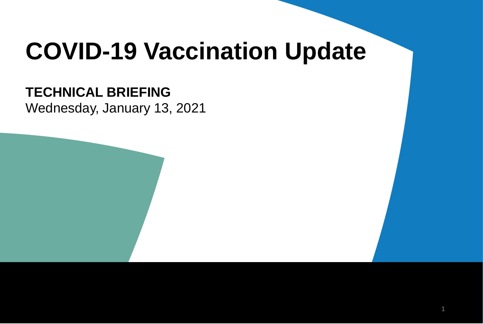# **COVID-19 Vaccination Update**

### **TECHNICAL BRIEFING**

Wednesday, January 13, 2021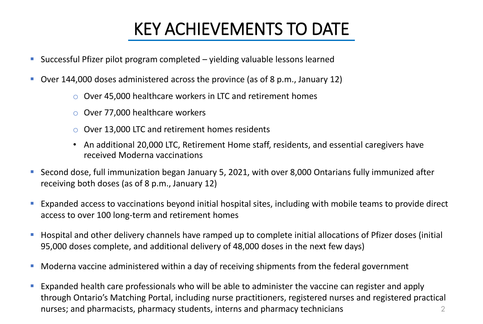## KEY ACHIEVEMENTS TO DATE

- Successful Pfizer pilot program completed yielding valuable lessons learned
- Over 144,000 doses administered across the province (as of 8 p.m., January 12)
	- o Over 45,000 healthcare workers in LTC and retirement homes
	- o Over 77,000 healthcare workers
	- o Over 13,000 LTC and retirement homes residents
	- An additional 20,000 LTC, Retirement Home staff, residents, and essential caregivers have received Moderna vaccinations
- Second dose, full immunization began January 5, 2021, with over 8,000 Ontarians fully immunized after receiving both doses (as of 8 p.m., January 12)
- Expanded access to vaccinations beyond initial hospital sites, including with mobile teams to provide direct access to over 100 long-term and retirement homes
- Hospital and other delivery channels have ramped up to complete initial allocations of Pfizer doses (initial 95,000 doses complete, and additional delivery of 48,000 doses in the next few days)
- Moderna vaccine administered within a day of receiving shipments from the federal government
- Expanded health care professionals who will be able to administer the vaccine can register and apply through Ontario's Matching Portal, including nurse practitioners, registered nurses and registered practical nurses; and pharmacists, pharmacy students, interns and pharmacy technicians 2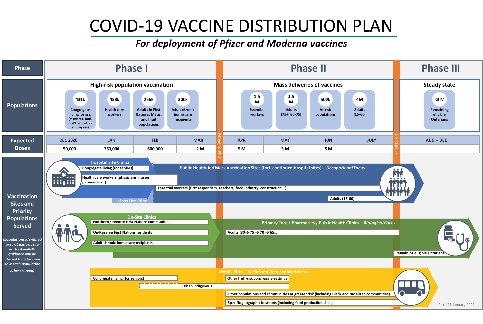### COVID-19 VACCINE DISTRIBUTION PLAN

#### *For deployment of Pfizer and Moderna vaccines*

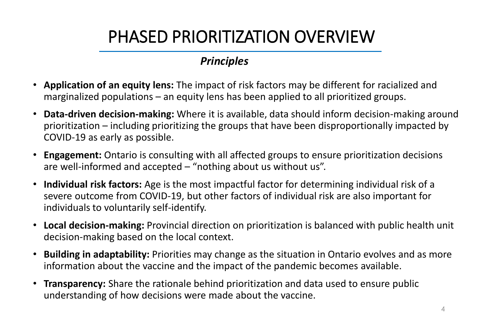## PHASED PRIORITIZATION OVERVIEW

### *Principles*

- **Application of an equity lens:** The impact of risk factors may be different for racialized and marginalized populations – an equity lens has been applied to all prioritized groups.
- **Data-driven decision-making:** Where it is available, data should inform decision-making around prioritization – including prioritizing the groups that have been disproportionally impacted by COVID-19 as early as possible.
- **Engagement:** Ontario is consulting with all affected groups to ensure prioritization decisions are well-informed and accepted – "nothing about us without us".
- **Individual risk factors:** Age is the most impactful factor for determining individual risk of a severe outcome from COVID-19, but other factors of individual risk are also important for individuals to voluntarily self-identify.
- **Local decision-making:** Provincial direction on prioritization is balanced with public health unit decision-making based on the local context.
- **Building in adaptability:** Priorities may change as the situation in Ontario evolves and as more information about the vaccine and the impact of the pandemic becomes available.
- **Transparency:** Share the rationale behind prioritization and data used to ensure public understanding of how decisions were made about the vaccine.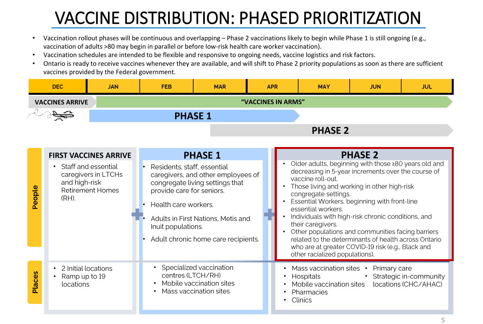## VACCINE DISTRIBUTION: PHASED PRIORITIZATION

- Vaccination rollout phases will be continuous and overlapping Phase 2 vaccinations likely to begin while Phase 1 is still ongoing (e.g., vaccination of adults >80 may begin in parallel or before low-risk health care worker vaccination).
- Vaccination schedules are intended to be flexible and responsive to ongoing needs, vaccine logistics and risk factors.
- Ontario is ready to receive vaccines whenever they are available, and will shift to Phase 2 priority populations as soon as there are sufficient vaccines provided by the Federal government.

|                                   | <b>DEC</b><br><b>JAN</b>                                                                           |  | <b>FEB</b>                                                                                                                                                                                                                                                                | <b>MAR</b>                                                                    | <b>APR</b> |                                                                                                                                                                                                                                                                                                                                                                                                                                                                                                                                                             | <b>MAY</b>                                                                                              | <b>JUN</b> | <b>JUL</b>                                       |  |
|-----------------------------------|----------------------------------------------------------------------------------------------------|--|---------------------------------------------------------------------------------------------------------------------------------------------------------------------------------------------------------------------------------------------------------------------------|-------------------------------------------------------------------------------|------------|-------------------------------------------------------------------------------------------------------------------------------------------------------------------------------------------------------------------------------------------------------------------------------------------------------------------------------------------------------------------------------------------------------------------------------------------------------------------------------------------------------------------------------------------------------------|---------------------------------------------------------------------------------------------------------|------------|--------------------------------------------------|--|
| <b>VACCINES ARRIVE</b>            |                                                                                                    |  | "VACCINES IN ARMS"                                                                                                                                                                                                                                                        |                                                                               |            |                                                                                                                                                                                                                                                                                                                                                                                                                                                                                                                                                             |                                                                                                         |            |                                                  |  |
| $\partial \overline{\mathcal{F}}$ |                                                                                                    |  | <b>PHASE 1</b>                                                                                                                                                                                                                                                            |                                                                               |            |                                                                                                                                                                                                                                                                                                                                                                                                                                                                                                                                                             |                                                                                                         |            |                                                  |  |
|                                   |                                                                                                    |  | <b>PHASE 2</b>                                                                                                                                                                                                                                                            |                                                                               |            |                                                                                                                                                                                                                                                                                                                                                                                                                                                                                                                                                             |                                                                                                         |            |                                                  |  |
|                                   |                                                                                                    |  |                                                                                                                                                                                                                                                                           |                                                                               |            |                                                                                                                                                                                                                                                                                                                                                                                                                                                                                                                                                             |                                                                                                         |            |                                                  |  |
|                                   | <b>FIRST VACCINES ARRIVE</b>                                                                       |  | <b>PHASE 1</b>                                                                                                                                                                                                                                                            |                                                                               |            | <b>PHASE 2</b>                                                                                                                                                                                                                                                                                                                                                                                                                                                                                                                                              |                                                                                                         |            |                                                  |  |
| People                            | Staff and essential<br>caregivers in LTCHs<br>and high-risk<br><b>Retirement Homes</b><br>$(RH)$ . |  | Residents, staff, essential<br>$\bullet$<br>caregivers, and other employees of<br>congregate living settings that<br>provide care for seniors.<br>Health care workers.<br>Adults in First Nations, Metis and<br>Inuit populations.<br>Adult chronic home care recipients. |                                                                               |            | Older adults, beginning with those ≥80 years old and<br>decreasing in 5-year increments over the course of<br>vaccine roll-out.<br>Those living and working in other high-risk<br>congregate settings.<br>Essential Workers, beginning with front-line<br>essential workers.<br>Individuals with high-risk chronic conditions, and<br>their caregivers.<br>Other populations and communities facing barriers<br>related to the determinants of health across Ontario<br>who are at greater COVID-19 risk (e.g., Black and<br>other racialized populations). |                                                                                                         |            |                                                  |  |
| <b>Places</b>                     | 2 Initial locations<br>Ramp up to 19<br>locations                                                  |  | centres (LTCH/RH)                                                                                                                                                                                                                                                         | Specialized vaccination<br>Mobile vaccination sites<br>Mass vaccination sites |            |                                                                                                                                                                                                                                                                                                                                                                                                                                                                                                                                                             | Mass vaccination sites • Primary care<br>Hospitals<br>Mobile vaccination sites<br>Pharmacies<br>Clinics |            | • Strategic in-community<br>locations (CHC/AHAC) |  |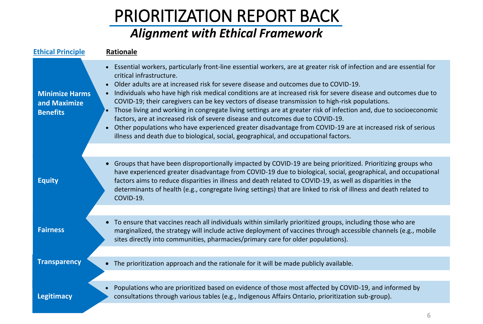## PRIORITIZATION REPORT BACK

### *Alignment with Ethical Framework*

| <b>Ethical Principle</b>                                 | Rationale                                                                                                                                                                                                                                                                                                                                                                                                                                                                                                                                                                                                                                                                                                                                                                                                                                                                                             |
|----------------------------------------------------------|-------------------------------------------------------------------------------------------------------------------------------------------------------------------------------------------------------------------------------------------------------------------------------------------------------------------------------------------------------------------------------------------------------------------------------------------------------------------------------------------------------------------------------------------------------------------------------------------------------------------------------------------------------------------------------------------------------------------------------------------------------------------------------------------------------------------------------------------------------------------------------------------------------|
| <b>Minimize Harms</b><br>and Maximize<br><b>Benefits</b> | Essential workers, particularly front-line essential workers, are at greater risk of infection and are essential for<br>critical infrastructure.<br>Older adults are at increased risk for severe disease and outcomes due to COVID-19.<br>$\bullet$<br>Individuals who have high risk medical conditions are at increased risk for severe disease and outcomes due to<br>$\bullet$<br>COVID-19; their caregivers can be key vectors of disease transmission to high-risk populations.<br>Those living and working in congregate living settings are at greater risk of infection and, due to socioeconomic<br>factors, are at increased risk of severe disease and outcomes due to COVID-19.<br>• Other populations who have experienced greater disadvantage from COVID-19 are at increased risk of serious<br>illness and death due to biological, social, geographical, and occupational factors. |
|                                                          |                                                                                                                                                                                                                                                                                                                                                                                                                                                                                                                                                                                                                                                                                                                                                                                                                                                                                                       |
| <b>Equity</b>                                            | • Groups that have been disproportionally impacted by COVID-19 are being prioritized. Prioritizing groups who<br>have experienced greater disadvantage from COVID-19 due to biological, social, geographical, and occupational<br>factors aims to reduce disparities in illness and death related to COVID-19, as well as disparities in the<br>determinants of health (e.g., congregate living settings) that are linked to risk of illness and death related to<br>COVID-19.                                                                                                                                                                                                                                                                                                                                                                                                                        |
|                                                          |                                                                                                                                                                                                                                                                                                                                                                                                                                                                                                                                                                                                                                                                                                                                                                                                                                                                                                       |
| <b>Fairness</b>                                          | • To ensure that vaccines reach all individuals within similarly prioritized groups, including those who are<br>marginalized, the strategy will include active deployment of vaccines through accessible channels (e.g., mobile<br>sites directly into communities, pharmacies/primary care for older populations).                                                                                                                                                                                                                                                                                                                                                                                                                                                                                                                                                                                   |
|                                                          |                                                                                                                                                                                                                                                                                                                                                                                                                                                                                                                                                                                                                                                                                                                                                                                                                                                                                                       |
| <b>Transparency</b>                                      | • The prioritization approach and the rationale for it will be made publicly available.                                                                                                                                                                                                                                                                                                                                                                                                                                                                                                                                                                                                                                                                                                                                                                                                               |
|                                                          |                                                                                                                                                                                                                                                                                                                                                                                                                                                                                                                                                                                                                                                                                                                                                                                                                                                                                                       |
| <b>Legitimacy</b>                                        | Populations who are prioritized based on evidence of those most affected by COVID-19, and informed by<br>$\bullet$<br>consultations through various tables (e.g., Indigenous Affairs Ontario, prioritization sub-group).                                                                                                                                                                                                                                                                                                                                                                                                                                                                                                                                                                                                                                                                              |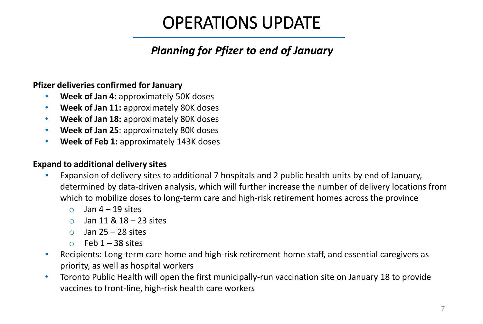### *Planning for Pfizer to end of January*

#### **Pfizer deliveries confirmed for January**

- **Week of Jan 4:** approximately 50K doses
- **Week of Jan 11:** approximately 80K doses
- **Week of Jan 18:** approximately 80K doses
- **Week of Jan 25**: approximately 80K doses
- **Week of Feb 1:** approximately 143K doses

#### **Expand to additional delivery sites**

- Expansion of delivery sites to additional 7 hospitals and 2 public health units by end of January, determined by data-driven analysis, which will further increase the number of delivery locations from which to mobilize doses to long-term care and high-risk retirement homes across the province
	- $\circ$  Jan 4 19 sites
	- $\circ$  Jan 11 & 18 23 sites
	- $\circ$  Jan 25 28 sites
	- $\circ$  Feb 1 38 sites
- Recipients: Long-term care home and high-risk retirement home staff, and essential caregivers as priority, as well as hospital workers
- Toronto Public Health will open the first municipally-run vaccination site on January 18 to provide vaccines to front-line, high-risk health care workers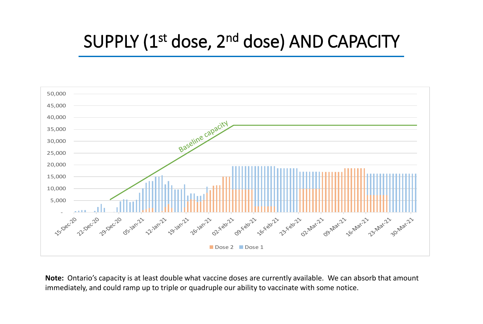## SUPPLY (1<sup>st</sup> dose, 2<sup>nd</sup> dose) AND CAPACITY



**Note:** Ontario's capacity is at least double what vaccine doses are currently available. We can absorb that amount immediately, and could ramp up to triple or quadruple our ability to vaccinate with some notice.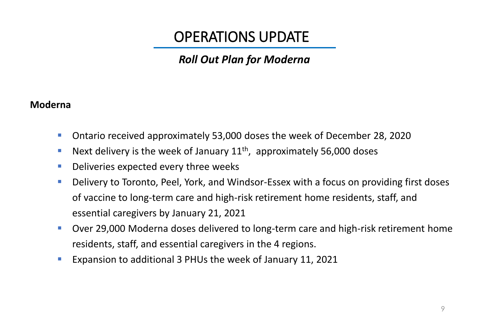### *Roll Out Plan for Moderna*

#### **Moderna**

- Ontario received approximately 53,000 doses the week of December 28, 2020
- **E** Next delivery is the week of January  $11<sup>th</sup>$ , approximately 56,000 doses
- Deliveries expected every three weeks
- Delivery to Toronto, Peel, York, and Windsor-Essex with a focus on providing first doses of vaccine to long-term care and high-risk retirement home residents, staff, and essential caregivers by January 21, 2021
- Over 29,000 Moderna doses delivered to long-term care and high-risk retirement home residents, staff, and essential caregivers in the 4 regions.
- Expansion to additional 3 PHUs the week of January 11, 2021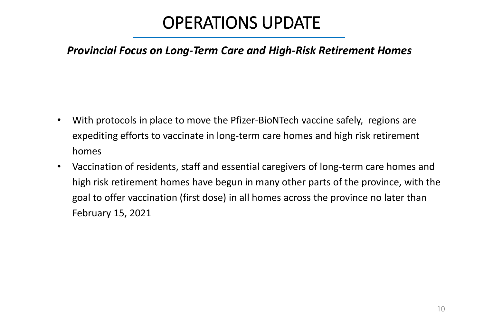### *Provincial Focus on Long-Term Care and High-Risk Retirement Homes*

- With protocols in place to move the Pfizer-BioNTech vaccine safely, regions are expediting efforts to vaccinate in long-term care homes and high risk retirement homes
- Vaccination of residents, staff and essential caregivers of long-term care homes and high risk retirement homes have begun in many other parts of the province, with the goal to offer vaccination (first dose) in all homes across the province no later than February 15, 2021